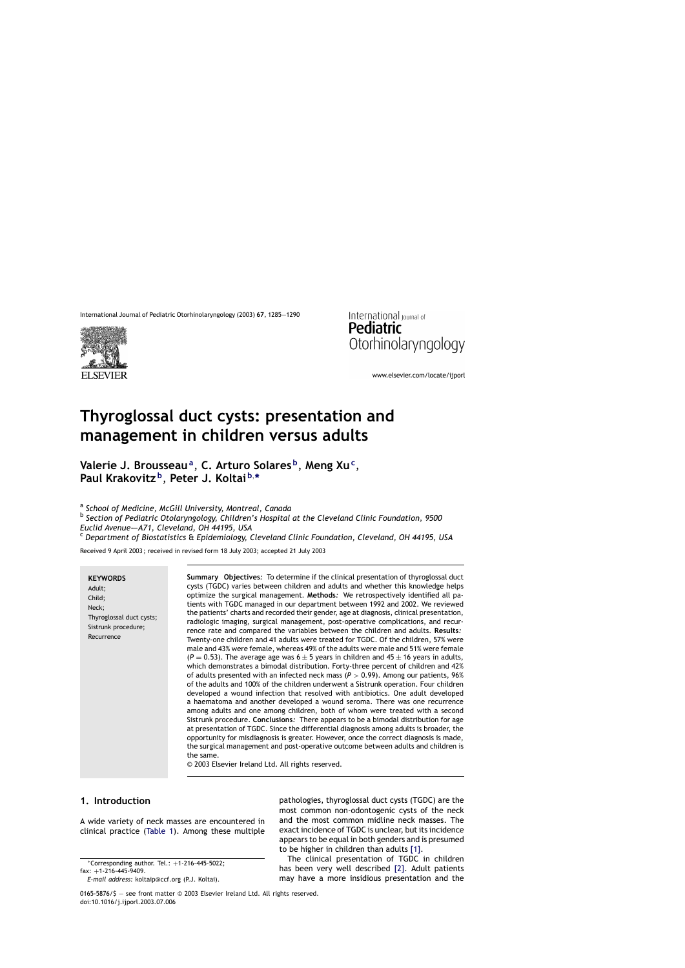



www.elsevier.com/locate/ijporl

# **Thyroglossal duct cysts: presentation and management in children versus adults**

**Valerie J. Brousseau<sup>a</sup>**, **C. Arturo Solares <sup>b</sup>**, **Meng Xu<sup>c</sup>**, **Paul Krakovitz <sup>b</sup>**, **Peter J. Koltai <sup>b</sup>**, **\***

<sup>a</sup> *School of Medicine, McGill University, Montreal, Canada*

<sup>b</sup> *Section of Pediatric Otolaryngology, Children's Hospital at the Cleveland Clinic Foundation, 9500 Euclid Avenue–—A71, Cleveland, OH 44195, USA*

<sup>c</sup> *Department of Biostatistics* & *Epidemiology, Cleveland Clinic Foundation, Cleveland, OH 44195, USA*

Received 9 April 2003 ; received in revised form 18 July 2003; accepted 21 July 2003

#### **KEYWORDS**

Adult; Child; Neck; Thyroglossal duct cysts; Sistrunk procedure; Recurrence

**Summary Objectives***:* To determine if the clinical presentation of thyroglossal duct cysts (TGDC) varies between children and adults and whether this knowledge helps optimize the surgical management. **Methods***:* We retrospectively identified all patients with TGDC managed in our department between 1992 and 2002. We reviewed the patients' charts and recorded their gender, age at diagnosis, clinical presentation, radiologic imaging, surgical management, post-operative complications, and recurrence rate and compared the variables between the children and adults. **Results***:* Twenty-one children and 41 adults were treated for TGDC. Of the children, 57% were male and 43% were female, whereas 49% of the adults were male and 51% were female  $(P = 0.53)$ . The average age was  $6 \pm 5$  years in children and  $45 \pm 16$  years in adults, which demonstrates a bimodal distribution. Forty-three percent of children and 42% of adults presented with an infected neck mass  $(P > 0.99)$ . Among our patients, 96% of the adults and 100% of the children underwent a Sistrunk operation. Four children developed a wound infection that resolved with antibiotics. One adult developed a haematoma and another developed a wound seroma. There was one recurrence among adults and one among children, both of whom were treated with a second Sistrunk procedure. **Conclusions***:* There appears to be a bimodal distribution for age at presentation of TGDC. Since the differential diagnosis among adults is broader, the opportunity for misdiagnosis is greater. However, once the correct diagnosis is made, the surgical management and post-operative outcome between adults and children is the same.

© 2003 Elsevier Ireland Ltd. All rights reserved.

#### **1. Introduction**

A wide variety of neck masses are encountered in clinical practice ([Table 1\).](#page-1-0) Among these multiple

<sup>∗</sup>Corresponding author. Tel.: +1-216-445-5022;

fax: +1-216-445-9409.

pathologies, thyroglossal duct cysts (TGDC) are the most common non-odontogenic cysts of the neck and the most common midline neck masses. The exact incidence of TGDC is unclear, but its incidence appears to be equal in both genders and is presumed to be higher in children than adults [\[1\].](#page-5-0)

The clinical presentation of TGDC in children has been very well described [\[2\].](#page-5-0) Adult patients may have a more insidious presentation and the

0165-5876/\$ — see front matter © 2003 Elsevier Ireland Ltd. All rights reserved. doi:10.1016/j.ijporl.2003.07.006

*E-mail address:* koltaip@ccf.org (P.J. Koltai).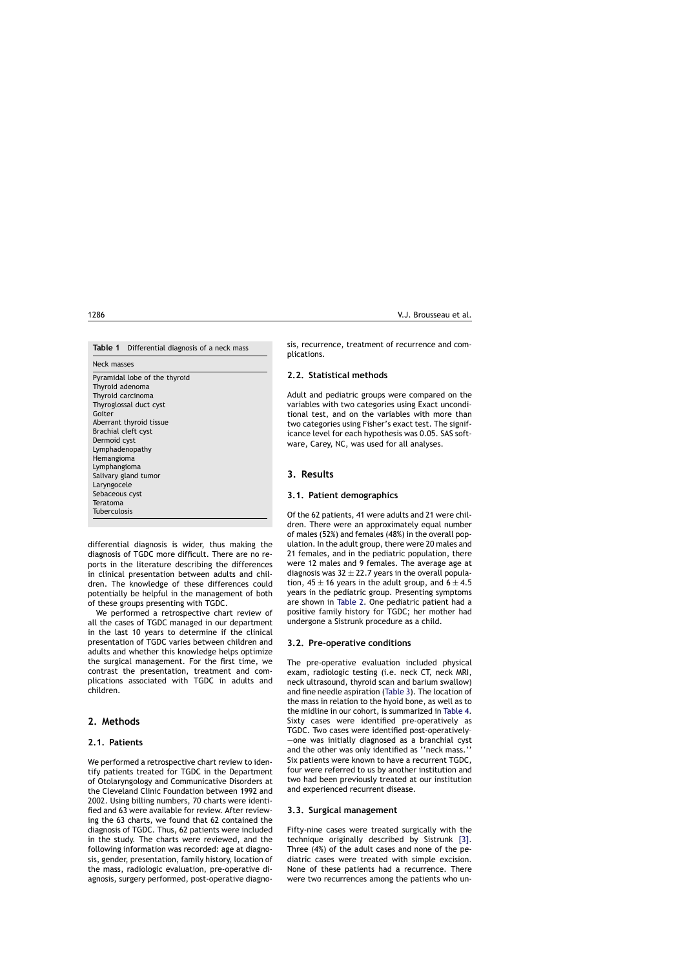<span id="page-1-0"></span>

Neck masses

Pyramidal lobe of the thyroid Thyroid adenoma Thyroid carcinoma Thyroglossal duct cyst Goiter Aberrant thyroid tissue Brachial cleft cyst Dermoid cyst Lymphadenopathy Hemangioma Lymphangioma Salivary gland tumor Laryngocele Sebaceous cyst Teratoma Tuberculosis

differential diagnosis is wider, thus making the diagnosis of TGDC more difficult. There are no reports in the literature describing the differences in clinical presentation between adults and children. The knowledge of these differences could potentially be helpful in the management of both of these groups presenting with TGDC.

We performed a retrospective chart review of all the cases of TGDC managed in our department in the last 10 years to determine if the clinical presentation of TGDC varies between children and adults and whether this knowledge helps optimize the surgical management. For the first time, we contrast the presentation, treatment and complications associated with TGDC in adults and children.

# **2. Methods**

# **2.1. Patients**

We performed a retrospective chart review to identify patients treated for TGDC in the Department of Otolaryngology and Communicative Disorders at the Cleveland Clinic Foundation between 1992 and 2002. Using billing numbers, 70 charts were identified and 63 were available for review. After reviewing the 63 charts, we found that 62 contained the diagnosis of TGDC. Thus, 62 patients were included in the study. The charts were reviewed, and the following information was recorded: age at diagnosis, gender, presentation, family history, location of the mass, radiologic evaluation, pre-operative diagnosis, surgery performed, post-operative diagnosis, recurrence, treatment of recurrence and complications.

## **2.2. Statistical methods**

Adult and pediatric groups were compared on the variables with two categories using Exact unconditional test, and on the variables with more than two categories using Fisher's exact test. The significance level for each hypothesis was 0.05. SAS software, Carey, NC, was used for all analyses.

# **3. Results**

#### **3.1. Patient demographics**

Of the 62 patients, 41 were adults and 21 were children. There were an approximately equal number of males (52%) and females (48%) in the overall population. In the adult group, there were 20 males and 21 females, and in the pediatric population, there were 12 males and 9 females. The average age at diagnosis was  $32 \pm 22.7$  years in the overall population, 45  $\pm$  16 years in the adult group, and 6  $\pm$  4.5 years in the pediatric group. Presenting symptoms are shown in [Table 2.](#page-2-0) One pediatric patient had a positive family history for TGDC; her mother had undergone a Sistrunk procedure as a child.

#### **3.2. Pre-operative conditions**

The pre-operative evaluation included physical exam, radiologic testing (i.e. neck CT, neck MRI, neck ultrasound, thyroid scan and barium swallow) and fine needle aspiration [\(Table 3\).](#page-2-0) The location of the mass in relation to the hyoid bone, as well as to the midline in our cohort, is summarized in [Table 4.](#page-2-0) Sixty cases were identified pre-operatively as TGDC. Two cases were identified post-operatively– —one was initially diagnosed as a branchial cyst and the other was only identified as ''neck mass.'' Six patients were known to have a recurrent TGDC, four were referred to us by another institution and two had been previously treated at our institution and experienced recurrent disease.

#### **3.3. Surgical management**

Fifty-nine cases were treated surgically with the technique originally described by Sistrunk [\[3\].](#page-5-0) Three (4%) of the adult cases and none of the pediatric cases were treated with simple excision. None of these patients had a recurrence. There were two recurrences among the patients who un-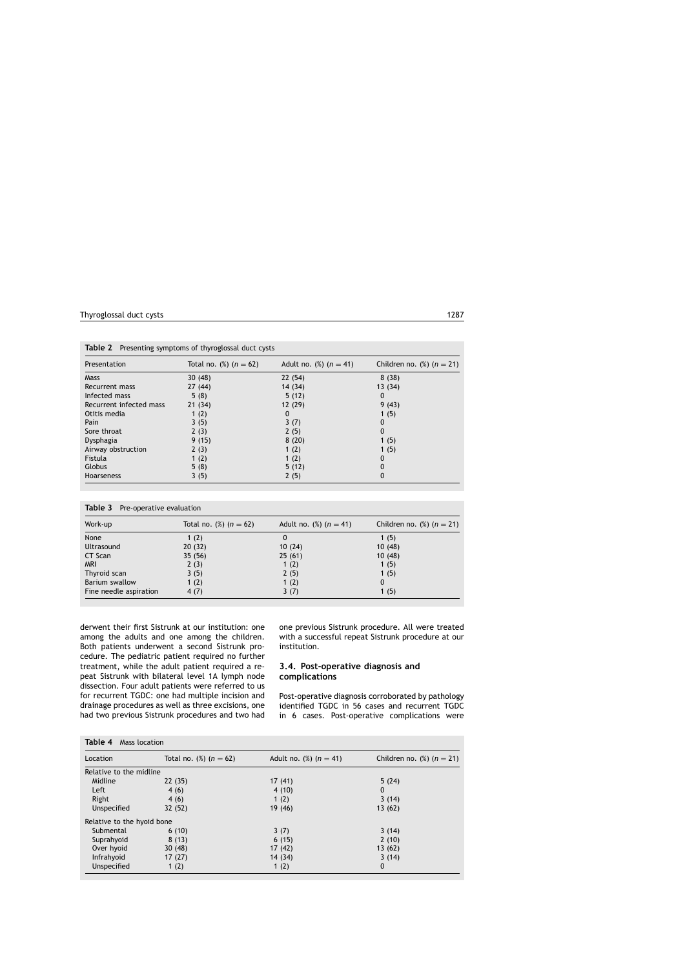| Presentation            | Total no. $(\%)$ $(n = 62)$ | Adult no. $(\%)$ $(n = 41)$ | Children no. $(\%)$ ( $n = 21$ ) |
|-------------------------|-----------------------------|-----------------------------|----------------------------------|
| <b>Mass</b>             | 30(48)                      | 22(54)                      | 8(38)                            |
| Recurrent mass          | 27(44)                      | 14 (34)                     | 13(34)                           |
| Infected mass           | 5(8)                        | 5(12)                       | 0                                |
| Recurrent infected mass | 21(34)                      | 12 (29)                     | 9(43)                            |
| Otitis media            | 1 $(2)$                     | 0                           | 1(5)                             |
| Pain                    | 3(5)                        | 3(7)                        | 0                                |
| Sore throat             | 2(3)                        | 2(5)                        | 0                                |
| Dysphagia               | 9(15)                       | 8(20)                       | 1(5)                             |
| Airway obstruction      | 2(3)                        | 1 $(2)$                     | 1(5)                             |
| Fistula                 | 1 $(2)$                     | 1 $(2)$                     | 0                                |
| <b>Globus</b>           | 5(8)                        | 5(12)                       | 0                                |
| <b>Hoarseness</b>       | 3(5)                        | 2(5)                        | 0                                |

<span id="page-2-0"></span>**Table 2** Presenting symptoms of thyroglossal duct cysts

|  | Table 3 Pre-operative evaluation |  |
|--|----------------------------------|--|
|--|----------------------------------|--|

| Work-up                | Total no. $(\%)$ ( $n = 62$ ) | Adult no. $(\%)$ $(n = 41)$ | Children no. $(\%)$ $(n = 21)$ |
|------------------------|-------------------------------|-----------------------------|--------------------------------|
| None                   | 1 $(2)$                       | 0                           | 1(5)                           |
| Ultrasound             | 20(32)                        | 10(24)                      | 10(48)                         |
| CT Scan                | 35(56)                        | 25(61)                      | 10(48)                         |
| <b>MRI</b>             | 2(3)                          | 1 $(2)$                     | 1(5)                           |
| Thyroid scan           | 3(5)                          | 2(5)                        | 1(5)                           |
| Barium swallow         | 1(2)                          | 1(2)                        | 0                              |
| Fine needle aspiration | 4(7)                          | 3(7)                        | 1(5)                           |

derwent their first Sistrunk at our institution: one among the adults and one among the children. Both patients underwent a second Sistrunk procedure. The pediatric patient required no further treatment, while the adult patient required a repeat Sistrunk with bilateral level 1A lymph node dissection. Four adult patients were referred to us for recurrent TGDC: one had multiple incision and drainage procedures as well as three excisions, one had two previous Sistrunk procedures and two had one previous Sistrunk procedure. All were treated with a successful repeat Sistrunk procedure at our institution.

### **3.4. Post-operative diagnosis and complications**

Post-operative diagnosis corroborated by pathology identified TGDC in 56 cases and recurrent TGDC in 6 cases. Post-operative complications were

| Table 4<br>Mass location      |                             |                                        |  |  |  |
|-------------------------------|-----------------------------|----------------------------------------|--|--|--|
| Total no. $(\%)$ ( $n = 62$ ) | Adult no. $(\%)$ $(n = 41)$ | Children no. $\binom{1}{0}$ $(n = 21)$ |  |  |  |
| Relative to the midline       |                             |                                        |  |  |  |
| 22(35)                        | 17(41)                      | 5(24)                                  |  |  |  |
| 4(6)                          | 4(10)                       | 0                                      |  |  |  |
| 4(6)                          | 1 $(2)$                     | 3(14)                                  |  |  |  |
| 32 (52)                       | 19 (46)                     | 13(62)                                 |  |  |  |
| Relative to the hyoid bone    |                             |                                        |  |  |  |
| 6(10)                         | 3(7)                        | 3(14)                                  |  |  |  |
| 8(13)                         | 6(15)                       | 2(10)                                  |  |  |  |
| 30(48)                        | 17 (42)                     | 13(62)                                 |  |  |  |
| 17(27)                        | 14 (34)                     | 3(14)                                  |  |  |  |
| 1 $(2)$                       | 1(2)                        | 0                                      |  |  |  |
|                               |                             |                                        |  |  |  |

**Table 4** Mass location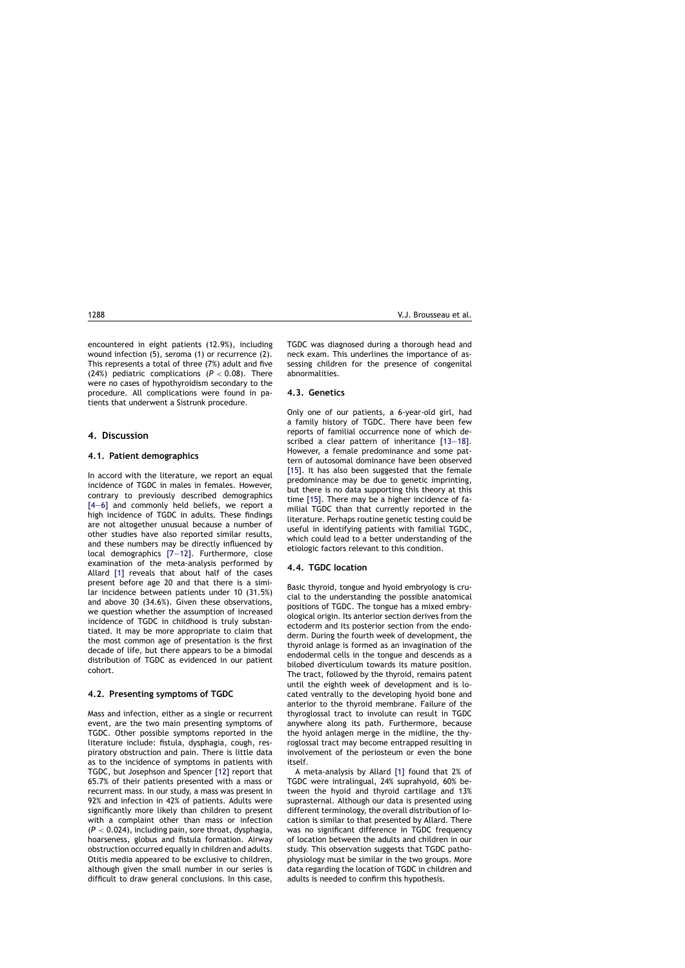encountered in eight patients (12.9%), including wound infection (5), seroma (1) or recurrence (2). This represents a total of three (7%) adult and five (24%) pediatric complications (*P* < 0.08). There were no cases of hypothyroidism secondary to the procedure. All complications were found in patients that underwent a Sistrunk procedure.

# **4. Discussion**

#### **4.1. Patient demographics**

In accord with the literature, we report an equal incidence of TGDC in males in females. However, contrary to previously described demographics [4-6] and commonly held beliefs, we report a high incidence of TGDC in adults. These findings are not altogether unusual because a number of other studies have also reported similar results, and these numbers may be directly influenced by local demographics [\[7—12\].](#page-5-0) Furthermore, close examination of the meta-analysis performed by Allard [\[1\]](#page-5-0) reveals that about half of the cases present before age 20 and that there is a similar incidence between patients under 10 (31.5%) and above 30 (34.6%). Given these observations, we question whether the assumption of increased incidence of TGDC in childhood is truly substantiated. It may be more appropriate to claim that the most common age of presentation is the first decade of life, but there appears to be a bimodal distribution of TGDC as evidenced in our patient cohort.

#### **4.2. Presenting symptoms of TGDC**

Mass and infection, either as a single or recurrent event, are the two main presenting symptoms of TGDC. Other possible symptoms reported in the literature include: fistula, dysphagia, cough, respiratory obstruction and pain. There is little data as to the incidence of symptoms in patients with TGDC, but Josephson and Spencer [\[12\]](#page-5-0) report that 65.7% of their patients presented with a mass or recurrent mass. In our study, a mass was present in 92% and infection in 42% of patients. Adults were significantly more likely than children to present with a complaint other than mass or infection (*P* < 0.024), including pain, sore throat, dysphagia, hoarseness, globus and fistula formation. Airway obstruction occurred equally in children and adults. Otitis media appeared to be exclusive to children, although given the small number in our series is difficult to draw general conclusions. In this case,

TGDC was diagnosed during a thorough head and neck exam. This underlines the importance of assessing children for the presence of congenital abnormalities.

#### **4.3. Genetics**

Only one of our patients, a 6-year-old girl, had a family history of TGDC. There have been few reports of familial occurrence none of which described a clear pattern of inheritance [\[13—18\].](#page-5-0) However, a female predominance and some pattern of autosomal dominance have been observed [\[15\].](#page-5-0) It has also been suggested that the female predominance may be due to genetic imprinting, but there is no data supporting this theory at this time [\[15\].](#page-5-0) There may be a higher incidence of familial TGDC than that currently reported in the literature. Perhaps routine genetic testing could be useful in identifying patients with familial TGDC, which could lead to a better understanding of the etiologic factors relevant to this condition.

#### **4.4. TGDC location**

Basic thyroid, tongue and hyoid embryology is crucial to the understanding the possible anatomical positions of TGDC. The tongue has a mixed embryological origin. Its anterior section derives from the ectoderm and its posterior section from the endoderm. During the fourth week of development, the thyroid anlage is formed as an invagination of the endodermal cells in the tongue and descends as a bilobed diverticulum towards its mature position. The tract, followed by the thyroid, remains patent until the eighth week of development and is located ventrally to the developing hyoid bone and anterior to the thyroid membrane. Failure of the thyroglossal tract to involute can result in TGDC anywhere along its path. Furthermore, because the hyoid anlagen merge in the midline, the thyroglossal tract may become entrapped resulting in involvement of the periosteum or even the bone itself.

A meta-analysis by Allard [\[1\]](#page-5-0) found that 2% of TGDC were intralingual, 24% suprahyoid, 60% between the hyoid and thyroid cartilage and 13% suprasternal. Although our data is presented using different terminology, the overall distribution of location is similar to that presented by Allard. There was no significant difference in TGDC frequency of location between the adults and children in our study. This observation suggests that TGDC pathophysiology must be similar in the two groups. More data regarding the location of TGDC in children and adults is needed to confirm this hypothesis.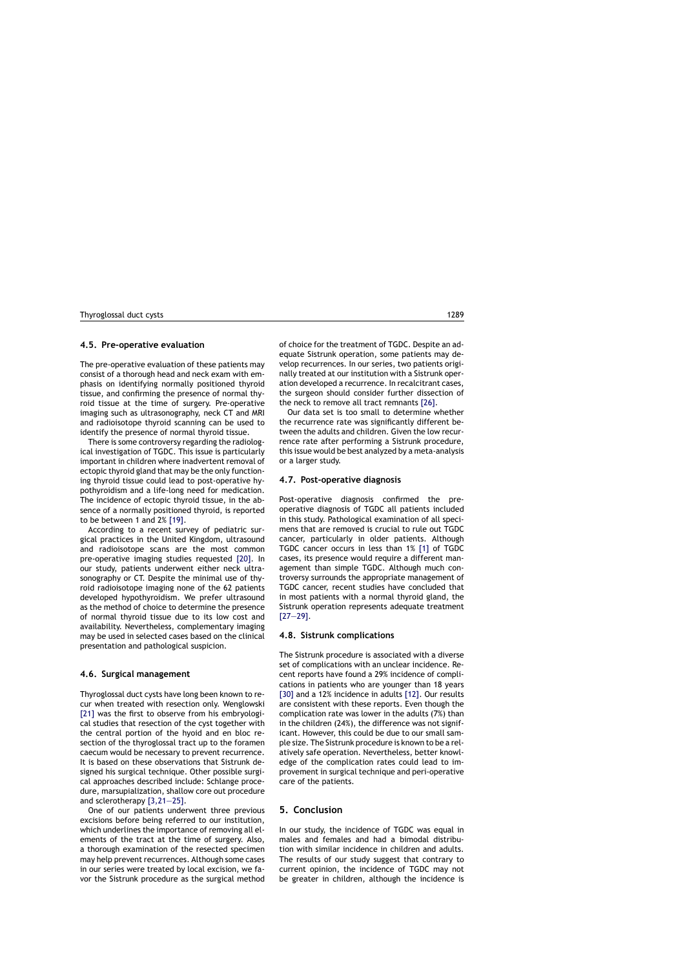#### **4.5. Pre-operative evaluation**

The pre-operative evaluation of these patients may consist of a thorough head and neck exam with emphasis on identifying normally positioned thyroid tissue, and confirming the presence of normal thyroid tissue at the time of surgery. Pre-operative imaging such as ultrasonography, neck CT and MRI and radioisotope thyroid scanning can be used to identify the presence of normal thyroid tissue.

There is some controversy regarding the radiological investigation of TGDC. This issue is particularly important in children where inadvertent removal of ectopic thyroid gland that may be the only functioning thyroid tissue could lead to post-operative hypothyroidism and a life-long need for medication. The incidence of ectopic thyroid tissue, in the absence of a normally positioned thyroid, is reported to be between 1 and 2% [\[19\].](#page-5-0)

According to a recent survey of pediatric surgical practices in the United Kingdom, ultrasound and radioisotope scans are the most common pre-operative imaging studies requested [\[20\].](#page-5-0) In our study, patients underwent either neck ultrasonography or CT. Despite the minimal use of thyroid radioisotope imaging none of the 62 patients developed hypothyroidism. We prefer ultrasound as the method of choice to determine the presence of normal thyroid tissue due to its low cost and availability. Nevertheless, complementary imaging may be used in selected cases based on the clinical presentation and pathological suspicion.

#### **4.6. Surgical management**

Thyroglossal duct cysts have long been known to recur when treated with resection only. Wenglowski [\[21\]](#page-5-0) was the first to observe from his embryological studies that resection of the cyst together with the central portion of the hyoid and en bloc resection of the thyroglossal tract up to the foramen caecum would be necessary to prevent recurrence. It is based on these observations that Sistrunk designed his surgical technique. Other possible surgical approaches described include: Schlange procedure, marsupialization, shallow core out procedure and sclerotherapy [\[3,21—25\].](#page-5-0)

One of our patients underwent three previous excisions before being referred to our institution, which underlines the importance of removing all elements of the tract at the time of surgery. Also, a thorough examination of the resected specimen may help prevent recurrences. Although some cases in our series were treated by local excision, we favor the Sistrunk procedure as the surgical method of choice for the treatment of TGDC. Despite an adequate Sistrunk operation, some patients may develop recurrences. In our series, two patients originally treated at our institution with a Sistrunk operation developed a recurrence. In recalcitrant cases, the surgeon should consider further dissection of the neck to remove all tract remnants [\[26\].](#page-5-0)

Our data set is too small to determine whether the recurrence rate was significantly different between the adults and children. Given the low recurrence rate after performing a Sistrunk procedure, this issue would be best analyzed by a meta-analysis or a larger study.

#### **4.7. Post-operative diagnosis**

Post-operative diagnosis confirmed the preoperative diagnosis of TGDC all patients included in this study. Pathological examination of all specimens that are removed is crucial to rule out TGDC cancer, particularly in older patients. Although TGDC cancer occurs in less than 1% [\[1\]](#page-5-0) of TGDC cases, its presence would require a different management than simple TGDC. Although much controversy surrounds the appropriate management of TGDC cancer, recent studies have concluded that in most patients with a normal thyroid gland, the Sistrunk operation represents adequate treatment [\[27—29\].](#page-5-0)

#### **4.8. Sistrunk complications**

The Sistrunk procedure is associated with a diverse set of complications with an unclear incidence. Recent reports have found a 29% incidence of complications in patients who are younger than 18 years [\[30\]](#page-5-0) and a 12% incidence in adults [\[12\].](#page-5-0) Our results are consistent with these reports. Even though the complication rate was lower in the adults (7%) than in the children (24%), the difference was not significant. However, this could be due to our small sample size. The Sistrunk procedure is known to be a relatively safe operation. Nevertheless, better knowledge of the complication rates could lead to improvement in surgical technique and peri-operative care of the patients.

#### **5. Conclusion**

In our study, the incidence of TGDC was equal in males and females and had a bimodal distribution with similar incidence in children and adults. The results of our study suggest that contrary to current opinion, the incidence of TGDC may not be greater in children, although the incidence is